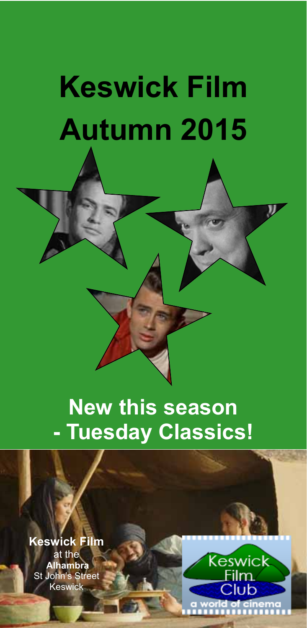# **Keswick Film Autumn 2015**

# **New this season - Tuesday Classics!**

**Keswick Film**  at the  **Alhambra**  St John's Street Keswick

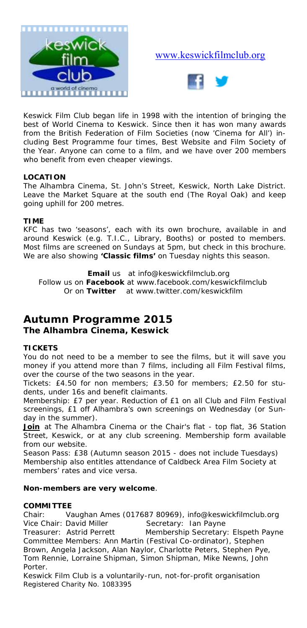

#### www.keswickfilmclub.org



Keswick Film Club began life in 1998 with the intention of bringing the best of World Cinema to Keswick. Since then it has won many awards from the British Federation of Film Societies (now 'Cinema for All') including Best Programme four times, Best Website and Film Society of the Year. Anyone can come to a film, and we have over 200 members who benefit from even cheaper viewings.

#### **LOCATION**

The Alhambra Cinema, St. John's Street, Keswick, North Lake District. Leave the Market Square at the south end (The Royal Oak) and keep going uphill for 200 metres.

#### **TIME**

KFC has two 'seasons', each with its own brochure, available in and around Keswick (e.g. T.I.C., Library, Booths) or posted to members. Most films are screened on Sundays at 5pm, but check in this brochure. We are also showing **'Classic films'** on Tuesday nights this season.

**Email** us at info@keswickfilmclub.org

 Follow us on **Facebook** at www.facebook.com/keswickfilmclub Or on **Twitter** at www.twitter.com/keswickfilm

#### **Autumn Programme 2015**

#### **The Alhambra Cinema, Keswick**

#### **TICKETS**

You do not need to be a member to see the films, but it will save you money if you attend more than 7 films, including all Film Festival films, over the course of the two seasons in the year.

*Tickets:* £4.50 for non members; £3.50 for members; £2.50 for students, under 16s and benefit claimants.

*Membership:* £7 per year. Reduction of £1 on all Club and Film Festival screenings, £1 off Alhambra's own screenings on Wednesday (or Sunday in the summer).

**Join** at The Alhambra Cinema or the Chair's flat - top flat, 36 Station Street, Keswick, or at any club screening. Membership form available from our website.

*Season Pass:* £38 (Autumn season 2015 - does not include Tuesdays) Membership also entitles attendance of Caldbeck Area Film Society at members' rates and vice versa.

#### **Non-members are very welcome**.

#### **COMMITTEE**

Chair: Vaughan Ames (017687 80969), info@keswickfilmclub.org Vice Chair: David Miller Secretary: Ian Payne<br>Treasurer: Astrid Perrett Membership Secretary Membership Secretary: Elspeth Payne Committee Members: Ann Martin (Festival Co-ordinator), Stephen Brown, Angela Jackson, Alan Naylor, Charlotte Peters, Stephen Pye, Tom Rennie, Lorraine Shipman, Simon Shipman, Mike Newns, John Porter.

*Keswick Film Club is a voluntarily-run, not-for-profit organisation Registered Charity No. 1083395*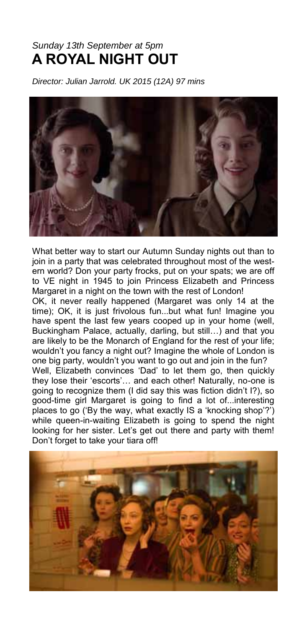## *Sunday 13th September at 5pm*  **A ROYAL NIGHT OUT**

*Director: Julian Jarrold. UK 2015 (12A) 97 mins*



What better way to start our Autumn Sunday nights out than to join in a party that was celebrated throughout most of the western world? Don your party frocks, put on your spats; we are off to VE night in 1945 to join Princess Elizabeth and Princess Margaret in a night on the town with the rest of London!

OK, it never really happened (Margaret was only 14 at the time); OK, it is just frivolous fun...but what fun! Imagine you have spent the last few years cooped up in your home (well, Buckingham Palace, actually, darling, but still…) and that you are likely to be the Monarch of England for the rest of your life; wouldn't you fancy a night out? Imagine the whole of London is one big party, wouldn't you want to go out and join in the fun? Well, Elizabeth convinces 'Dad' to let them go, then quickly they lose their 'escorts'… and each other! Naturally, no-one is going to recognize them (I did say this was fiction didn't I?), so good-time girl Margaret is going to find a lot of...interesting places to go ('By the way, what exactly IS a 'knocking shop'?') while queen-in-waiting Elizabeth is going to spend the night looking for her sister. Let's get out there and party with them! Don't forget to take your tiara off!

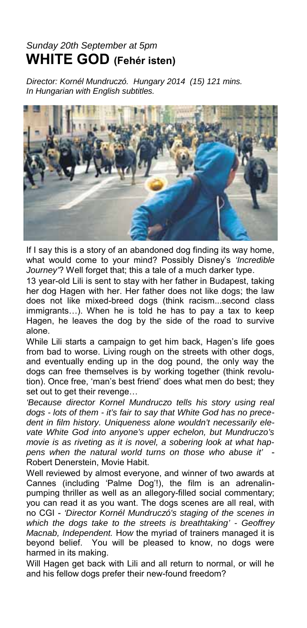## *Sunday 20th September at 5pm*  **WHITE GOD (Fehér isten)**

*Director: Kornél Mundruczó. Hungary 2014 (15) 121 mins. In Hungarian with English subtitles.* 



If I say this is a story of an abandoned dog finding its way home, what would come to your mind? Possibly Disney's *'Incredible Journey'*? Well forget that; this a tale of a much darker type.

13 year-old Lili is sent to stay with her father in Budapest, taking her dog Hagen with her. Her father does not like dogs; the law does not like mixed-breed dogs (think racism...second class immigrants…). When he is told he has to pay a tax to keep Hagen, he leaves the dog by the side of the road to survive alone.

While Lili starts a campaign to get him back, Hagen's life goes from bad to worse. Living rough on the streets with other dogs, and eventually ending up in the dog pound, the only way the dogs can free themselves is by working together (think revolution). Once free, 'man's best friend' does what men do best; they set out to get their revenge…

*'Because director Kornel Mundruczo tells his story using real dogs - lots of them - it's fair to say that White God has no precedent in film history. Uniqueness alone wouldn't necessarily elevate White God into anyone's upper echelon, but Mundruczo's movie is as riveting as it is novel, a sobering look at what happens when the natural world turns on those who abuse it'* - Robert Denerstein, Movie Habit.

Well reviewed by almost everyone, and winner of two awards at Cannes (including 'Palme Dog'!), the film is an adrenalinpumping thriller as well as an allegory-filled social commentary; you can read it as you want. The dogs scenes are all real, with no CGI - *'Director Kornél Mundruczó's staging of the scenes in which the dogs take to the streets is breathtaking' - Geoffrey Macnab, Independent.* H*ow* the myriad of trainers managed it is beyond belief. You will be pleased to know, no dogs were harmed in its making.

Will Hagen get back with Lili and all return to normal, or will he and his fellow dogs prefer their new-found freedom?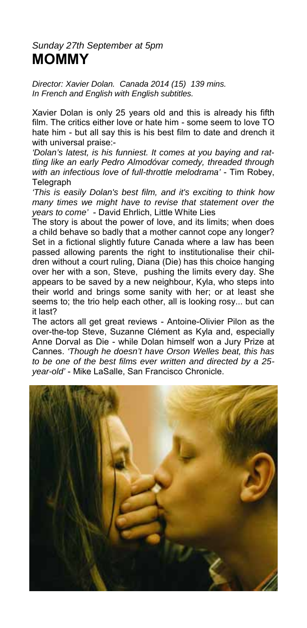#### *Sunday 27th September at 5pm*  **MOMMY**

*Director: Xavier Dolan. Canada 2014 (15) 139 mins. In French and English with English subtitles.* 

Xavier Dolan is only 25 years old and this is already his fifth film. The critics either love or hate him - some seem to love TO hate him - but all say this is his best film to date and drench it with universal praise:-

*'Dolan's latest, is his funniest. It comes at you baying and rattling like an early Pedro Almodóvar comedy, threaded through with an infectious love of full-throttle melodrama'* - Tim Robey, Telegraph

*'This is easily Dolan's best film, and it's exciting to think how many times we might have to revise that statement over the years to come'* - David Ehrlich, Little White Lies

The story is about the power of love, and its limits; when does a child behave so badly that a mother cannot cope any longer? Set in a fictional slightly future Canada where a law has been passed allowing parents the right to institutionalise their children without a court ruling, Diana (Die) has this choice hanging over her with a son, Steve, pushing the limits every day. She appears to be saved by a new neighbour, Kyla, who steps into their world and brings some sanity with her; or at least she seems to; the trio help each other, all is looking rosy... but can it last?

The actors all get great reviews - Antoine-Olivier Pilon as the over-the-top Steve, Suzanne Clément as Kyla and, especially Anne Dorval as Die - while Dolan himself won a Jury Prize at Cannes. *'Though he doesn't have Orson Welles beat, this has to be one of the best films ever written and directed by a 25 year-old'* - Mike LaSalle, San Francisco Chronicle.

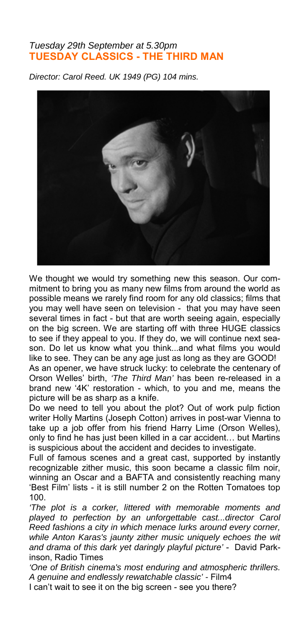#### *Tuesday 29th September at 5.30pm*  **TUESDAY CLASSICS - THE THIRD MAN**

*Director: Carol Reed. UK 1949 (PG) 104 mins.* 



We thought we would try something new this season. Our commitment to bring you as many new films from around the world as possible means we rarely find room for any old classics; films that you may well have seen on television - that you may have seen several times in fact - but that are worth seeing again, especially on the big screen. We are starting off with three HUGE classics to see if they appeal to you. If they do, we will continue next season. Do let us know what you think...and what films you would like to see. They can be any age just as long as they are GOOD!

As an opener, we have struck lucky: to celebrate the centenary of Orson Welles' birth, *'The Third Man'* has been re-released in a brand new '4K' restoration - which, to you and me, means the picture will be as sharp as a knife.

Do we need to tell you about the plot? Out of work pulp fiction writer Holly Martins (Joseph Cotton) arrives in post-war Vienna to take up a job offer from his friend Harry Lime (Orson Welles), only to find he has just been killed in a car accident… but Martins is suspicious about the accident and decides to investigate.

Full of famous scenes and a great cast, supported by instantly recognizable zither music, this soon became a classic film noir, winning an Oscar and a BAFTA and consistently reaching many 'Best Film' lists - it is still number 2 on the Rotten Tomatoes top 100.

*'The plot is a corker, littered with memorable moments and played to perfection by an unforgettable cast...director Carol Reed fashions a city in which menace lurks around every corner, while Anton Karas's jaunty zither music uniquely echoes the wit and drama of this dark yet daringly playful picture'* - David Parkinson, Radio Times

*'One of British cinema's most enduring and atmospheric thrillers. A genuine and endlessly rewatchable classic' -* Film4

I can't wait to see it on the big screen - see you there?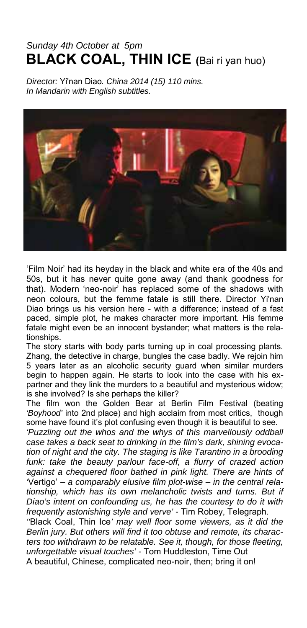## *Sunday 4th October at 5pm* **BLACK COAL, THIN ICE (**Bai ri yan huo)

*Director:* Yi'nan Diao*. China 2014 (15) 110 mins. In Mandarin with English subtitles.* 



'Film Noir' had its heyday in the black and white era of the 40s and 50s, but it has never quite gone away (and thank goodness for that). Modern 'neo-noir' has replaced some of the shadows with neon colours, but the femme fatale is still there. Director Yi'nan Diao brings us his version here - with a difference; instead of a fast paced, simple plot, he makes character more important. His femme fatale might even be an innocent bystander; what matters is the relationships.

The story starts with body parts turning up in coal processing plants. Zhang, the detective in charge, bungles the case badly. We rejoin him 5 years later as an alcoholic security guard when similar murders begin to happen again. He starts to look into the case with his expartner and they link the murders to a beautiful and mysterious widow; is she involved? Is she perhaps the killer?

The film won the Golden Bear at Berlin Film Festival (beating *'Boyhood'* into 2nd place) and high acclaim from most critics, though some have found it's plot confusing even though it is beautiful to see.

*'Puzzling out the whos and the whys of this marvellously oddball case takes a back seat to drinking in the film's dark, shining evocation of night and the city. The staging is like Tarantino in a brooding*  funk: take the beauty parlour face-off, a flurry of crazed action *against a chequered floor bathed in pink light. There are hints of '*Vertigo' *– a comparably elusive film plot-wise – in the central relationship, which has its own melancholic twists and turns. But if Diao's intent on confounding us, he has the courtesy to do it with frequently astonishing style and verve' -* Tim Robey, Telegraph.

*''*Black Coal, Thin Ice*' may well floor some viewers, as it did the Berlin jury. But others will find it too obtuse and remote, its characters too withdrawn to be relatable. See it, though, for those fleeting, unforgettable visual touches' -* Tom Huddleston, Time Out A beautiful, Chinese, complicated neo-noir, then; bring it on!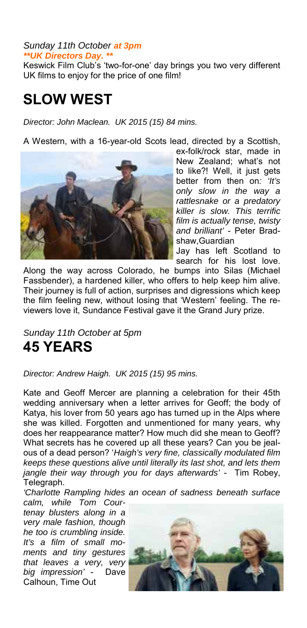#### *Sunday 11th October at 3pm \*\*UK Directors Day. \*\**

Keswick Film Club's 'two-for-one' day brings you two very different UK films to enjoy for the price of one film!

# **SLOW WEST**

*Director: John Maclean. UK 2015 (15) 84 mins.* 

A Western, with a 16-year-old Scots lead, directed by a Scottish,



ex-folk/rock star, made in New Zealand; what's not to like?! Well, it just gets better from then on*: 'It's only slow in the way a rattlesnake or a predatory killer is slow. This terrific film is actually tense, twisty and brilliant'* - Peter Bradshaw,Guardian

Jay has left Scotland to search for his lost love.

Along the way across Colorado, he bumps into Silas (Michael Fassbender), a hardened killer, who offers to help keep him alive. Their journey is full of action, surprises and digressions which keep the film feeling new, without losing that 'Western' feeling. The reviewers love it, Sundance Festival gave it the Grand Jury prize.

*Sunday 11th October at 5pm*  **45 YEARS** 

*Director: Andrew Haigh. UK 2015 (15) 95 mins.* 

Kate and Geoff Mercer are planning a celebration for their 45th wedding anniversary when a letter arrives for Geoff; the body of Katya, his lover from 50 years ago has turned up in the Alps where she was killed. Forgotten and unmentioned for many years, why does her reappearance matter? How much did she mean to Geoff? What secrets has he covered up all these years? Can you be jealous of a dead person? '*Haigh's very fine, classically modulated film keeps these questions alive until literally its last shot, and lets them jangle their way through you for days afterwards'* - Tim Robey, Telegraph.

*'Charlotte Rampling hides an ocean of sadness beneath surface* 

*calm, while Tom Courtenay blusters along in a very male fashion, though he too is crumbling inside. It's a film of small moments and tiny gestures that leaves a very, very big impression'* - Dave Calhoun, Time Out

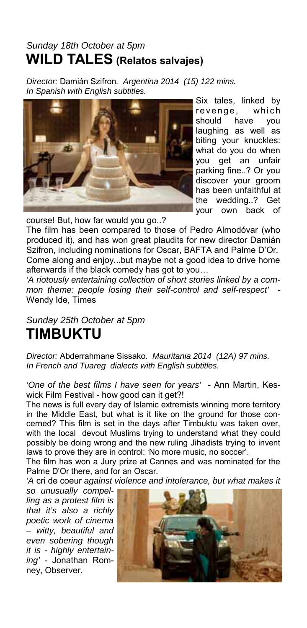## *Sunday 18th October at 5pm*  **WILD TALES (Relatos salvajes)**

*Director:* Damián Szifron*. Argentina 2014 (15) 122 mins. In Spanish with English subtitles.* 



Six tales, linked by revenge, which should have you laughing as well as biting your knuckles: what do you do when you get an unfair parking fine..? Or you discover your groom has been unfaithful at the wedding..? Get your own back of

course! But, how far would you go..?

The film has been compared to those of Pedro Almodóvar (who produced it), and has won great plaudits for new director Damián Szifron, including nominations for Oscar, BAFTA and Palme D'Or. Come along and enjoy...but maybe not a good idea to drive home afterwards if the black comedy has got to you…

*'A riotously entertaining collection of short stories linked by a common theme: people losing their self-control and self-respect'* - Wendy Ide, Times

## *Sunday 25th October at 5pm*  **TIMBUKTU**

*Director:* Abderrahmane Sissako*. Mauritania 2014 (12A) 97 mins. In French and Tuareg dialects with English subtitles.* 

*'One of the best films I have seen for years'* - Ann Martin, Keswick Film Festival - how good can it get?!

The news is full every day of Islamic extremists winning more territory in the Middle East, but what is it like on the ground for those concerned? This film is set in the days after Timbuktu was taken over, with the local devout Muslims trying to understand what they could possibly be doing wrong and the new ruling Jihadists trying to invent laws to prove they are in control: 'No more music, no soccer'.

The film has won a Jury prize at Cannes and was nominated for the Palme D'Or there, and for an Oscar.

*'A* cri de coeur *against violence and intolerance, but what makes it* 

*so unusually compelling as a protest film is that it's also a richly poetic work of cinema – witty, beautiful and even sobering though it is - highly entertaining'* - Jonathan Romney, Observer.

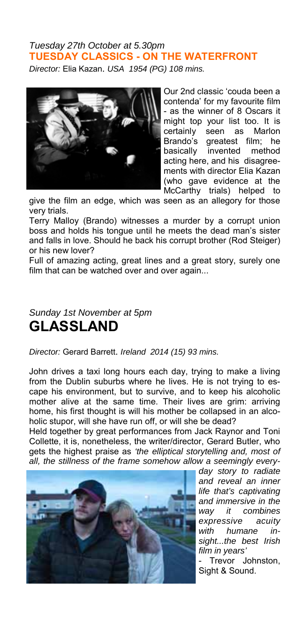#### *Tuesday 27th October at 5.30pm*  **TUESDAY CLASSICS - ON THE WATERFRONT**

*Director:* Elia Kazan. *USA 1954 (PG) 108 mins.* 



Our 2nd classic 'couda been a contenda' for my favourite film - as the winner of 8 Oscars it might top your list too. It is certainly seen as Marlon Brando's greatest film; he basically invented method acting here, and his disagreements with director Elia Kazan (who gave evidence at the McCarthy trials) helped to

give the film an edge, which was seen as an allegory for those very trials.

Terry Malloy (Brando) witnesses a murder by a corrupt union boss and holds his tongue until he meets the dead man's sister and falls in love. Should he back his corrupt brother (Rod Steiger) or his new lover?

Full of amazing acting, great lines and a great story, surely one film that can be watched over and over again...

#### *Sunday 1st November at 5pm*  **GLASSLAND**

*Director:* Gerard Barrett. *Ireland 2014 (15) 93 mins.* 

John drives a taxi long hours each day, trying to make a living from the Dublin suburbs where he lives. He is not trying to escape his environment, but to survive, and to keep his alcoholic mother alive at the same time. Their lives are grim: arriving home, his first thought is will his mother be collapsed in an alcoholic stupor, will she have run off, or will she be dead?

Held together by great performances from Jack Raynor and Toni Collette, it is, nonetheless, the writer/director, Gerard Butler, who gets the highest praise as *'the elliptical storytelling and, most of all, the stillness of the frame somehow allow a seemingly every-*



*day story to radiate and reveal an inner life that's captivating and immersive in the way it combines expressive acuity with humane insight...the best Irish film in years'*

- Trevor Johnston, Sight & Sound.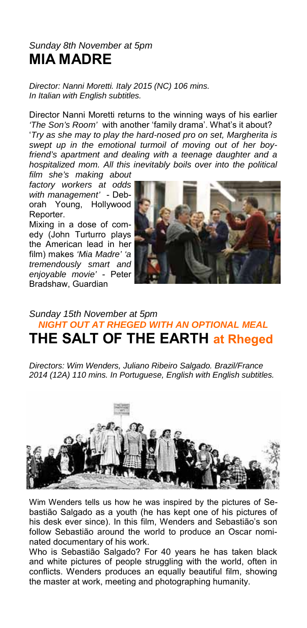#### *Sunday 8th November at 5pm*  **MIA MADRE**

*Director: Nanni Moretti. Italy 2015 (NC) 106 mins. In Italian with English subtitles.* 

Director Nanni Moretti returns to the winning ways of his earlier *'The Son's Room'* with another 'family drama'. What's it about?

'*Try as she may to play the hard-nosed pro on set, Margherita is swept up in the emotional turmoil of moving out of her boyfriend's apartment and dealing with a teenage daughter and a hospitalized mom. All this inevitably boils over into the political* 

*film she's making about factory workers at odds with management'* - Deborah Young, Hollywood Reporter.

Mixing in a dose of comedy (John Turturro plays the American lead in her film) makes *'Mia Madre' 'a tremendously smart and enjoyable movie'* - Peter Bradshaw, Guardian



#### *Sunday 15th November at 5pm NIGHT OUT AT RHEGED WITH AN OPTIONAL MEAL*  **THE SALT OF THE EARTH at Rheged**

*Directors: Wim Wenders, Juliano Ribeiro Salgado. Brazil/France 2014 (12A) 110 mins. In Portuguese, English with English subtitles.* 



Wim Wenders tells us how he was inspired by the pictures of Sebastião Salgado as a youth (he has kept one of his pictures of his desk ever since). In this film, Wenders and Sebastião's son follow Sebastião around the world to produce an Oscar nominated documentary of his work.

Who is Sebastião Salgado? For 40 years he has taken black and white pictures of people struggling with the world, often in conflicts. Wenders produces an equally beautiful film, showing the master at work, meeting and photographing humanity.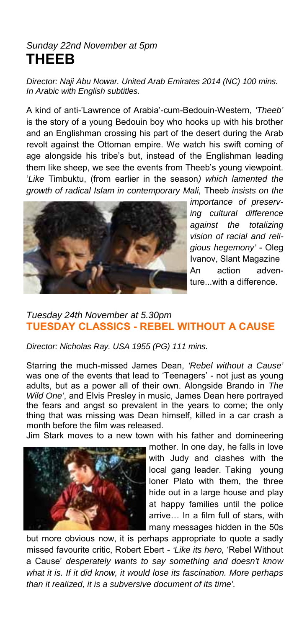## *Sunday 22nd November at 5pm*  **THEEB**

*Director: Naji Abu Nowar. United Arab Emirates 2014 (NC) 100 mins. In Arabic with English subtitles.* 

A kind of anti-'Lawrence of Arabia'-cum-Bedouin-Western, *'Theeb'* is the story of a young Bedouin boy who hooks up with his brother and an Englishman crossing his part of the desert during the Arab revolt against the Ottoman empire. We watch his swift coming of age alongside his tribe's but, instead of the Englishman leading them like sheep, we see the events from Theeb's young viewpoint. '*Like* Timbuktu, (from earlier in the season*) which lamented the growth of radical Islam in contemporary Mali,* Theeb *insists on the* 



*importance of preserving cultural difference against the totalizing vision of racial and religious hegemony'* - Oleg Ivanov, Slant Magazine An action adventure...with a difference.

#### *Tuesday 24th November at 5.30pm*  **TUESDAY CLASSICS - REBEL WITHOUT A CAUSE**

*Director: Nicholas Ray. USA 1955 (PG) 111 mins.* 

Starring the much-missed James Dean, *'Rebel without a Cause'* was one of the events that lead to 'Teenagers' - not just as young adults, but as a power all of their own. Alongside Brando in *The Wild One'*, and Elvis Presley in music, James Dean here portrayed the fears and angst so prevalent in the years to come; the only thing that was missing was Dean himself, killed in a car crash a month before the film was released.

Jim Stark moves to a new town with his father and domineering



mother. In one day, he falls in love with Judy and clashes with the local gang leader. Taking young loner Plato with them, the three hide out in a large house and play at happy families until the police arrive… In a film full of stars, with many messages hidden in the 50s

but more obvious now, it is perhaps appropriate to quote a sadly missed favourite critic, Robert Ebert - *'Like its hero,* 'Rebel Without a Cause' *desperately wants to say something and doesn't know what it is. If it did know, it would lose its fascination. More perhaps than it realized, it is a subversive document of its time'.*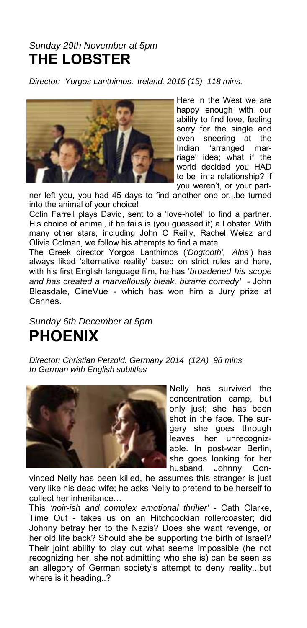## *Sunday 29th November at 5pm*  **THE LOBSTER**

*Director: Yorgos Lanthimos. Ireland. 2015 (15) 118 mins.* 



Here in the West we are happy enough with our ability to find love, feeling sorry for the single and even sneering at the<br>Indian 'arranged mar-'arranged marriage' idea; what if the world decided you HAD to be in a relationship? If you weren't, or your part-

ner left you, you had 45 days to find another one or...be turned into the animal of your choice!

Colin Farrell plays David, sent to a 'love-hotel' to find a partner. His choice of animal, if he fails is (you guessed it) a Lobster. With many other stars, including John C Reilly, Rachel Weisz and Olivia Colman, we follow his attempts to find a mate.

The Greek director Yorgos Lanthimos (*'Dogtooth', 'Alps'*) has always liked 'alternative reality' based on strict rules and here, with his first English language film, he has '*broadened his scope and has created a marvellously bleak, bizarre comedy'* - John Bleasdale, CineVue - which has won him a Jury prize at Cannes.

## *Sunday 6th December at 5pm*  **PHOENIX**

*Director: Christian Petzold. Germany 2014 (12A) 98 mins. In German with English subtitles* 



Nelly has survived the concentration camp, but only just; she has been shot in the face. The surgery she goes through leaves her unrecognizable. In post-war Berlin, she goes looking for her husband, Johnny. Con-

vinced Nelly has been killed, he assumes this stranger is just very like his dead wife; he asks Nelly to pretend to be herself to collect her inheritance…

This *'noir-ish and complex emotional thriller'* - Cath Clarke, Time Out - takes us on an Hitchcockian rollercoaster; did Johnny betray her to the Nazis? Does she want revenge, or her old life back? Should she be supporting the birth of Israel? Their joint ability to play out what seems impossible (he not recognizing her, she not admitting who she is) can be seen as an allegory of German society's attempt to deny reality...but where is it heading..?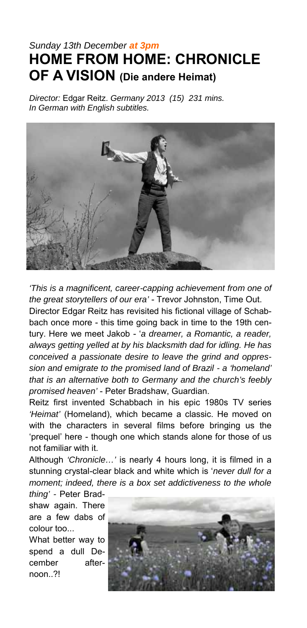## *Sunday 13th December at 3pm*  **HOME FROM HOME: CHRONICLE OF A VISION (Die andere Heimat)**

*Director:* Edgar Reitz. *Germany 2013 (15) 231 mins. In German with English subtitles.* 



*'This is a magnificent, career-capping achievement from one of the great storytellers of our era'* - Trevor Johnston, Time Out.

Director Edgar Reitz has revisited his fictional village of Schabbach once more - this time going back in time to the 19th century. Here we meet Jakob - '*a dreamer, a Romantic, a reader, always getting yelled at by his blacksmith dad for idling. He has conceived a passionate desire to leave the grind and oppression and emigrate to the promised land of Brazil - a 'homeland' that is an alternative both to Germany and the church's feebly promised heaven'* - Peter Bradshaw, Guardian.

Reitz first invented Schabbach in his epic 1980s TV series *'Heimat'* (Homeland), which became a classic. He moved on with the characters in several films before bringing us the 'prequel' here - though one which stands alone for those of us not familiar with it.

Although *'Chronicle…'* is nearly 4 hours long, it is filmed in a stunning crystal-clear black and white which is '*never dull for a moment; indeed, there is a box set addictiveness to the whole* 

*thing' -* Peter Bradshaw again. There are a few dabs of colour too...

What better way to spend a dull December afternoon.?!

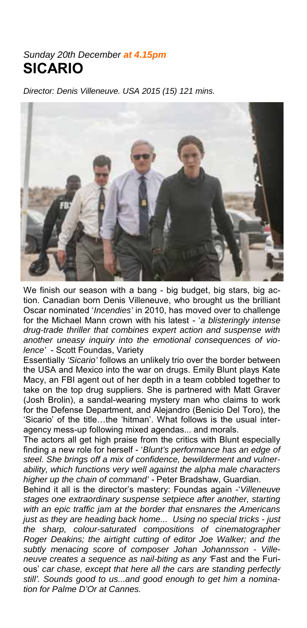#### *Sunday 20th December at 4.15pm* **SICARIO**

*Director: Denis Villeneuve. USA 2015 (15) 121 mins.* 



We finish our season with a bang - big budget, big stars, big action. Canadian born Denis Villeneuve, who brought us the brilliant Oscar nominated '*Incendies'* in 2010, has moved over to challenge for the Michael Mann crown with his latest - '*a blisteringly intense drug-trade thriller that combines expert action and suspense with another uneasy inquiry into the emotional consequences of violence'* - Scott Foundas, Variety

Essentially *'Sicario'* follows an unlikely trio over the border between the USA and Mexico into the war on drugs. Emily Blunt plays Kate Macy, an FBI agent out of her depth in a team cobbled together to take on the top drug suppliers. She is partnered with Matt Graver (Josh Brolin), a sandal-wearing mystery man who claims to work for the Defense Department, and Alejandro (Benicio Del Toro), the 'Sicario' of the title…the 'hitman'. What follows is the usual interagency mess-up following mixed agendas... and morals.

The actors all get high praise from the critics with Blunt especially finding a new role for herself - '*Blunt's performance has an edge of steel. She brings off a mix of confidence, bewilderment and vulnerability, which functions very well against the alpha male characters higher up the chain of command'* - Peter Bradshaw, Guardian.

Behind it all is the director's mastery: Foundas again -'*Villeneuve stages one extraordinary suspense setpiece after another, starting with an epic traffic jam at the border that ensnares the Americans just as they are heading back home... Using no special tricks - just the sharp, colour-saturated compositions of cinematographer Roger Deakins; the airtight cutting of editor Joe Walker; and the subtly menacing score of composer Johan Johannsson - Villeneuve creates a sequence as nail-biting as any '*Fast and the Furious' *car chase, except that here all the cars are standing perfectly still'. Sounds good to us...and good enough to get him a nomination for Palme D'Or at Cannes.*